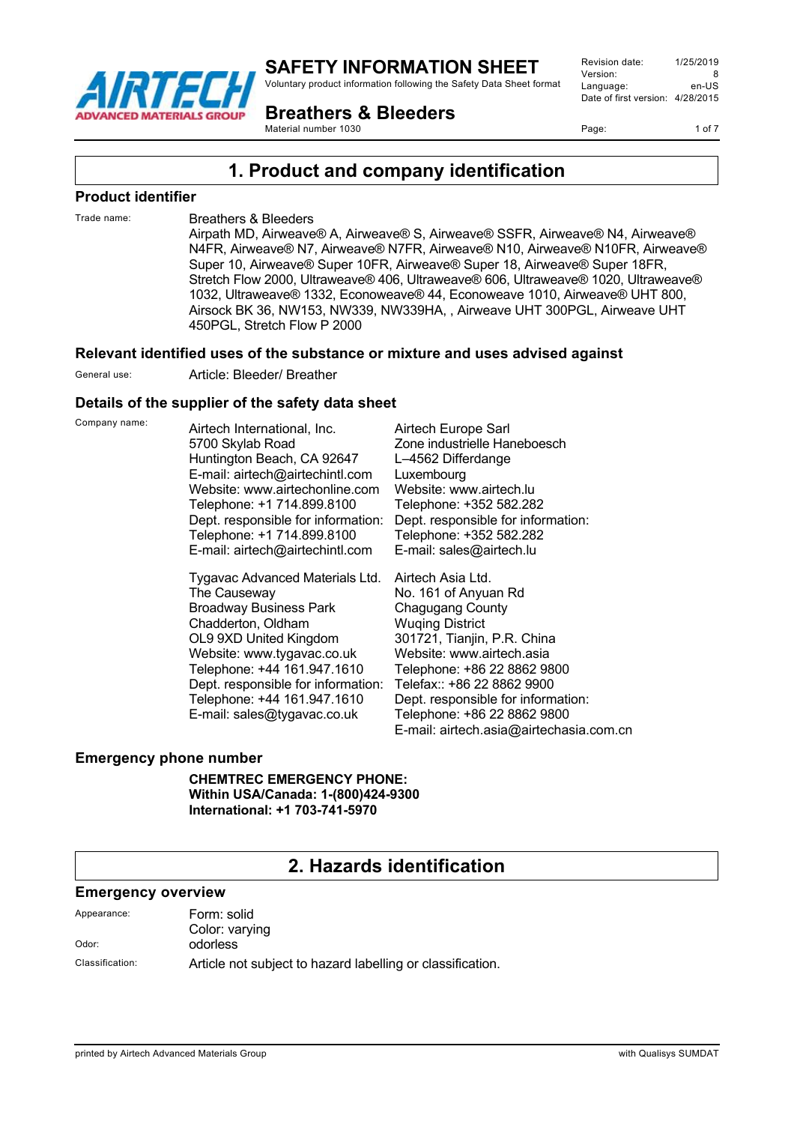

Voluntary product information following the Safety Data Sheet format

**Breathers & Bleeders**

Revision date: 1/25/2019 Version: 8<br>Language: en-LIS Language: Date of first version: 4/28/2015

Page: 1 of 7

Material number 1030

# **1. Product and company identification**

#### **Product identifier**

#### Trade name: Breathers & Bleeders

Airpath MD, Airweave® A, Airweave® S, Airweave® SSFR, Airweave® N4, Airweave® N4FR, Airweave® N7, Airweave® N7FR, Airweave® N10, Airweave® N10FR, Airweave® Super 10, Airweave® Super 10FR, Airweave® Super 18, Airweave® Super 18FR, Stretch Flow 2000, Ultraweave® 406, Ultraweave® 606, Ultraweave® 1020, Ultraweave® 1032, Ultraweave® 1332, Econoweave® 44, Econoweave 1010, Airweave® UHT 800, Airsock BK 36, NW153, NW339, NW339HA, , Airweave UHT 300PGL, Airweave UHT 450PGL, Stretch Flow P 2000

#### **Relevant identified uses of the substance or mixture and uses advised against**

General use: Article: Bleeder/ Breather

#### **Details of the supplier of the safety data sheet**

Company name: Airtech International, Inc. 5700 Skylab Road Huntington Beach, CA 92647 E-mail: airtech@airtechintl.com Website: www.airtechonline.com Telephone: +1 714.899.8100 Dept. responsible for information: Telephone: +1 714.899.8100 E-mail: airtech@airtechintl.com

> Tygavac Advanced Materials Ltd. The Causeway Broadway Business Park Chadderton, Oldham OL9 9XD United Kingdom Website: www.tygavac.co.uk Telephone: +44 161.947.1610 Dept. responsible for information: Telephone: +44 161.947.1610 E-mail: sales@tygavac.co.uk

Airtech Europe Sarl Zone industrielle Haneboesch L–4562 Differdange Luxembourg Website: www.airtech.lu Telephone: +352 582.282 Dept. responsible for information: Telephone: +352 582.282 E-mail: sales@airtech.lu

Airtech Asia Ltd. No. 161 of Anyuan Rd Chagugang County Wuqing District 301721, Tianjin, P.R. China Website: www.airtech.asia Telephone: +86 22 8862 9800 Telefax:: +86 22 8862 9900 Dept. responsible for information: Telephone: +86 22 8862 9800 E-mail: airtech.asia@airtechasia.com.cn

#### **Emergency phone number**

**CHEMTREC EMERGENCY PHONE: Within USA/Canada: 1-(800)424-9300 International: +1 703-741-5970**

## **2. Hazards identification**

#### **Emergency overview**

| Appearance:     | Form: solid                                                |
|-----------------|------------------------------------------------------------|
|                 | Color: varying                                             |
| Odor:           | odorless                                                   |
| Classification: | Article not subject to hazard labelling or classification. |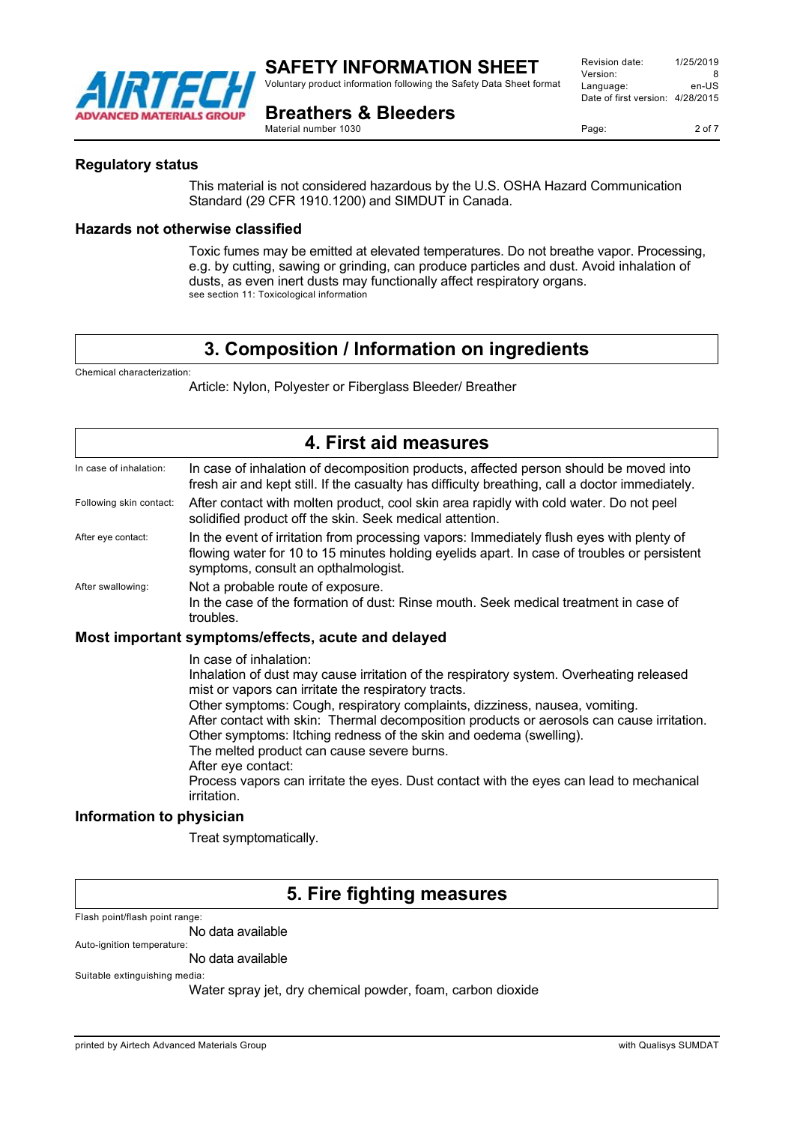

Voluntary product information following the Safety Data Sheet format

**Breathers & Bleeders**

Revision date: 1/25/2019 Version: 8<br>
Language: en-US Language: Date of first version: 4/28/2015

Page: 2 of 7

Material number 1030

#### **Regulatory status**

This material is not considered hazardous by the U.S. OSHA Hazard Communication Standard (29 CFR 1910.1200) and SIMDUT in Canada.

#### **Hazards not otherwise classified**

Toxic fumes may be emitted at elevated temperatures. Do not breathe vapor. Processing, e.g. by cutting, sawing or grinding, can produce particles and dust. Avoid inhalation of dusts, as even inert dusts may functionally affect respiratory organs. see section 11: Toxicological information

# **3. Composition / Information on ingredients**

Chemical characterization:

Article: Nylon, Polyester or Fiberglass Bleeder/ Breather

| 4. First aid measures                              |                                                                                                                                                                                                                                                                                                                                                                                                                                                                                                                                                                                                          |  |
|----------------------------------------------------|----------------------------------------------------------------------------------------------------------------------------------------------------------------------------------------------------------------------------------------------------------------------------------------------------------------------------------------------------------------------------------------------------------------------------------------------------------------------------------------------------------------------------------------------------------------------------------------------------------|--|
| In case of inhalation:                             | In case of inhalation of decomposition products, affected person should be moved into<br>fresh air and kept still. If the casualty has difficulty breathing, call a doctor immediately.                                                                                                                                                                                                                                                                                                                                                                                                                  |  |
| Following skin contact:                            | After contact with molten product, cool skin area rapidly with cold water. Do not peel<br>solidified product off the skin. Seek medical attention.                                                                                                                                                                                                                                                                                                                                                                                                                                                       |  |
| After eye contact:                                 | In the event of irritation from processing vapors: Immediately flush eyes with plenty of<br>flowing water for 10 to 15 minutes holding eyelids apart. In case of troubles or persistent<br>symptoms, consult an opthalmologist.                                                                                                                                                                                                                                                                                                                                                                          |  |
| After swallowing:                                  | Not a probable route of exposure.<br>In the case of the formation of dust: Rinse mouth. Seek medical treatment in case of<br>troubles.                                                                                                                                                                                                                                                                                                                                                                                                                                                                   |  |
| Most important symptoms/effects, acute and delayed |                                                                                                                                                                                                                                                                                                                                                                                                                                                                                                                                                                                                          |  |
|                                                    | In case of inhalation:<br>Inhalation of dust may cause irritation of the respiratory system. Overheating released<br>mist or vapors can irritate the respiratory tracts.<br>Other symptoms: Cough, respiratory complaints, dizziness, nausea, vomiting.<br>After contact with skin: Thermal decomposition products or aerosols can cause irritation.<br>Other symptoms: Itching redness of the skin and oedema (swelling).<br>The melted product can cause severe burns.<br>After eye contact:<br>Process vapors can irritate the eyes. Dust contact with the eyes can lead to mechanical<br>irritation. |  |
| Information to physician                           |                                                                                                                                                                                                                                                                                                                                                                                                                                                                                                                                                                                                          |  |
|                                                    |                                                                                                                                                                                                                                                                                                                                                                                                                                                                                                                                                                                                          |  |

Treat symptomatically.

# **5. Fire fighting measures**

Flash point/flash point range:

No data available

Auto-ignition temperature: No data available

Suitable extinguishing media:

Water spray jet, dry chemical powder, foam, carbon dioxide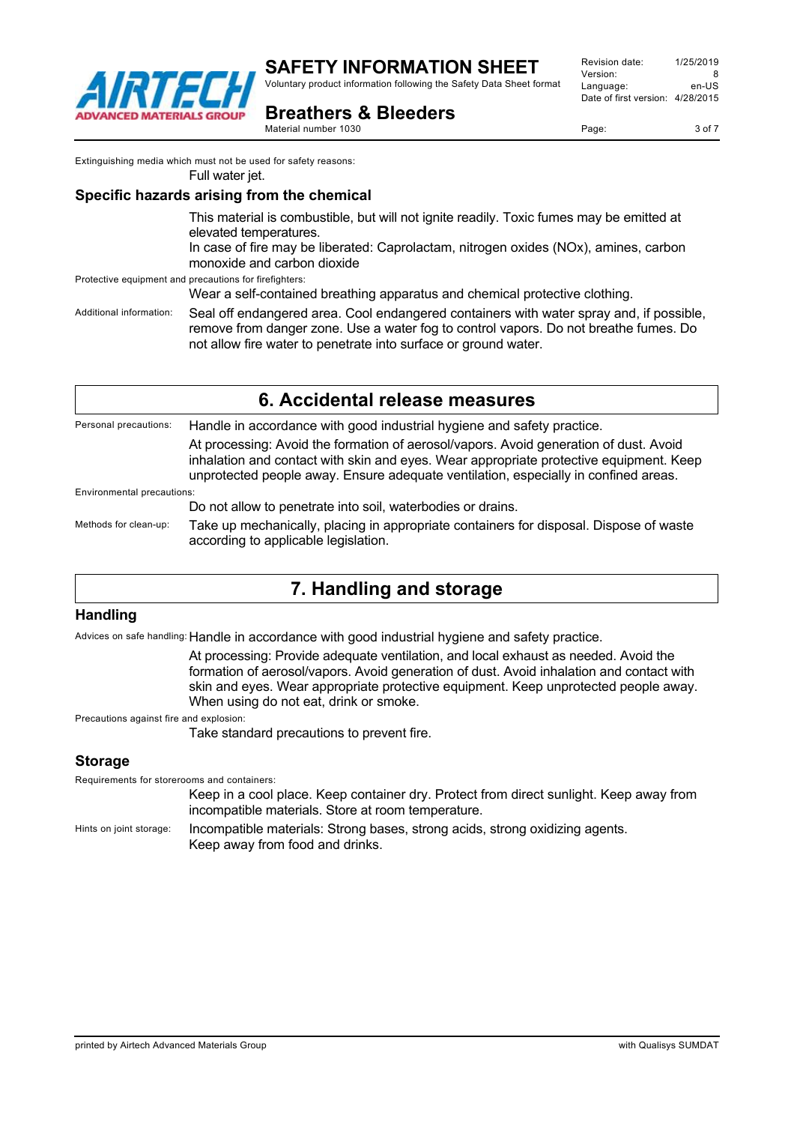

Voluntary product information following the Safety Data Sheet format

Revision date: 1/25/2019 Version: 8<br>Language: en-LIS Language: Date of first version: 4/28/2015

**Breathers & Bleeders** Material number 1030

Page: 3 of 7

Extinguishing media which must not be used for safety reasons:

Full water jet.

#### **Specific hazards arising from the chemical**

This material is combustible, but will not ignite readily. Toxic fumes may be emitted at elevated temperatures. In case of fire may be liberated: Caprolactam, nitrogen oxides (NOx), amines, carbon monoxide and carbon dioxide Protective equipment and precautions for firefighters: Wear a self-contained breathing apparatus and chemical protective clothing.

Additional information: Seal off endangered area. Cool endangered containers with water spray and, if possible, remove from danger zone. Use a water fog to control vapors. Do not breathe fumes. Do not allow fire water to penetrate into surface or ground water.

Personal precautions: Handle in accordance with good industrial hygiene and safety practice. At processing: Avoid the formation of aerosol/vapors. Avoid generation of dust. Avoid inhalation and contact with skin and eyes. Wear appropriate protective equipment. Keep unprotected people away. Ensure adequate ventilation, especially in confined areas. Environmental precautions: Do not allow to penetrate into soil, waterbodies or drains.

Methods for clean-up: Take up mechanically, placing in appropriate containers for disposal. Dispose of waste according to applicable legislation.

# **7. Handling and storage**

## **Handling**

Advices on safe handling: Handle in accordance with good industrial hygiene and safety practice.

At processing: Provide adequate ventilation, and local exhaust as needed. Avoid the formation of aerosol/vapors. Avoid generation of dust. Avoid inhalation and contact with skin and eyes. Wear appropriate protective equipment. Keep unprotected people away. When using do not eat, drink or smoke.

Precautions against fire and explosion:

Take standard precautions to prevent fire.

## **Storage**

Requirements for storerooms and containers: Keep in a cool place. Keep container dry. Protect from direct sunlight. Keep away from incompatible materials. Store at room temperature. Hints on joint storage: Incompatible materials: Strong bases, strong acids, strong oxidizing agents. Keep away from food and drinks.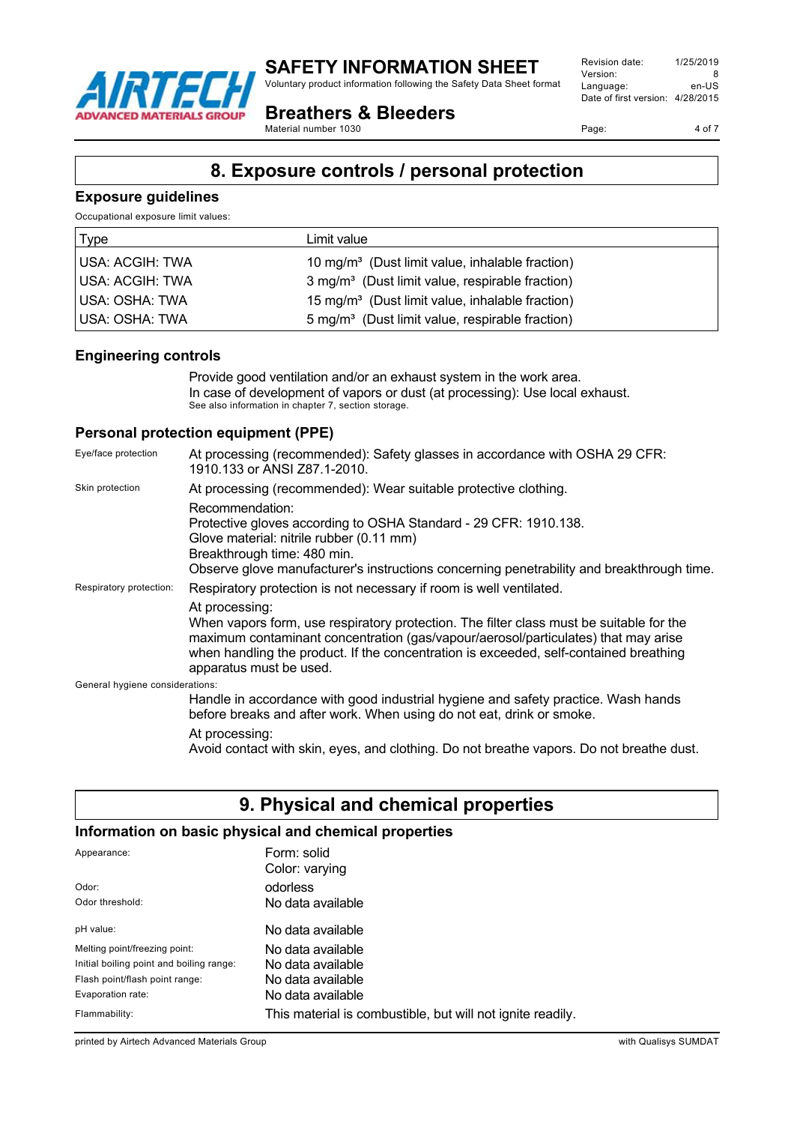

Voluntary product information following the Safety Data Sheet format

**Breathers & Bleeders**

Material number 1030

Revision date: 1/25/2019 Version: 8<br>
Language: en-US Language: Date of first version: 4/28/2015

Page: 4 of 7

# **8. Exposure controls / personal protection**

#### **Exposure guidelines**

Occupational exposure limit values:

| <b>Type</b>     | Limit value                                                 |
|-----------------|-------------------------------------------------------------|
| USA: ACGIH: TWA | 10 mg/m <sup>3</sup> (Dust limit value, inhalable fraction) |
| USA: ACGIH: TWA | 3 mg/m <sup>3</sup> (Dust limit value, respirable fraction) |
| USA: OSHA: TWA  | 15 mg/m <sup>3</sup> (Dust limit value, inhalable fraction) |
| USA: OSHA: TWA  | 5 mg/m <sup>3</sup> (Dust limit value, respirable fraction) |

#### **Engineering controls**

Provide good ventilation and/or an exhaust system in the work area. In case of development of vapors or dust (at processing): Use local exhaust. See also information in chapter 7, section storage.

## **Personal protection equipment (PPE)**

| Eye/face protection             | At processing (recommended): Safety glasses in accordance with OSHA 29 CFR:<br>1910.133 or ANSI Z87.1-2010.                                                                                                                                                                                                         |
|---------------------------------|---------------------------------------------------------------------------------------------------------------------------------------------------------------------------------------------------------------------------------------------------------------------------------------------------------------------|
| Skin protection                 | At processing (recommended): Wear suitable protective clothing.                                                                                                                                                                                                                                                     |
|                                 | Recommendation:<br>Protective gloves according to OSHA Standard - 29 CFR: 1910.138.<br>Glove material: nitrile rubber (0.11 mm)<br>Breakthrough time: 480 min.<br>Observe glove manufacturer's instructions concerning penetrability and breakthrough time.                                                         |
| Respiratory protection:         | Respiratory protection is not necessary if room is well ventilated.                                                                                                                                                                                                                                                 |
|                                 | At processing:<br>When vapors form, use respiratory protection. The filter class must be suitable for the<br>maximum contaminant concentration (gas/vapour/aerosol/particulates) that may arise<br>when handling the product. If the concentration is exceeded, self-contained breathing<br>apparatus must be used. |
| General hygiene considerations: |                                                                                                                                                                                                                                                                                                                     |
|                                 | Handle in accordance with good industrial hygiene and safety practice. Wash hands<br>before breaks and after work. When using do not eat, drink or smoke.                                                                                                                                                           |
|                                 | At processing:<br>Avoid contact with skin, eyes, and clothing. Do not breathe vapors. Do not breathe dust.                                                                                                                                                                                                          |

# **9. Physical and chemical properties**

## **Information on basic physical and chemical properties**

| Appearance:                              | Form: solid<br>Color: varying                              |
|------------------------------------------|------------------------------------------------------------|
| Odor:                                    | odorless                                                   |
| Odor threshold:                          | No data available                                          |
| pH value:                                | No data available                                          |
| Melting point/freezing point:            | No data available                                          |
| Initial boiling point and boiling range: | No data available                                          |
| Flash point/flash point range:           | No data available                                          |
| Evaporation rate:                        | No data available                                          |
| Flammability:                            | This material is combustible, but will not ignite readily. |

printed by Airtech Advanced Materials Group with Qualisys SUMDAT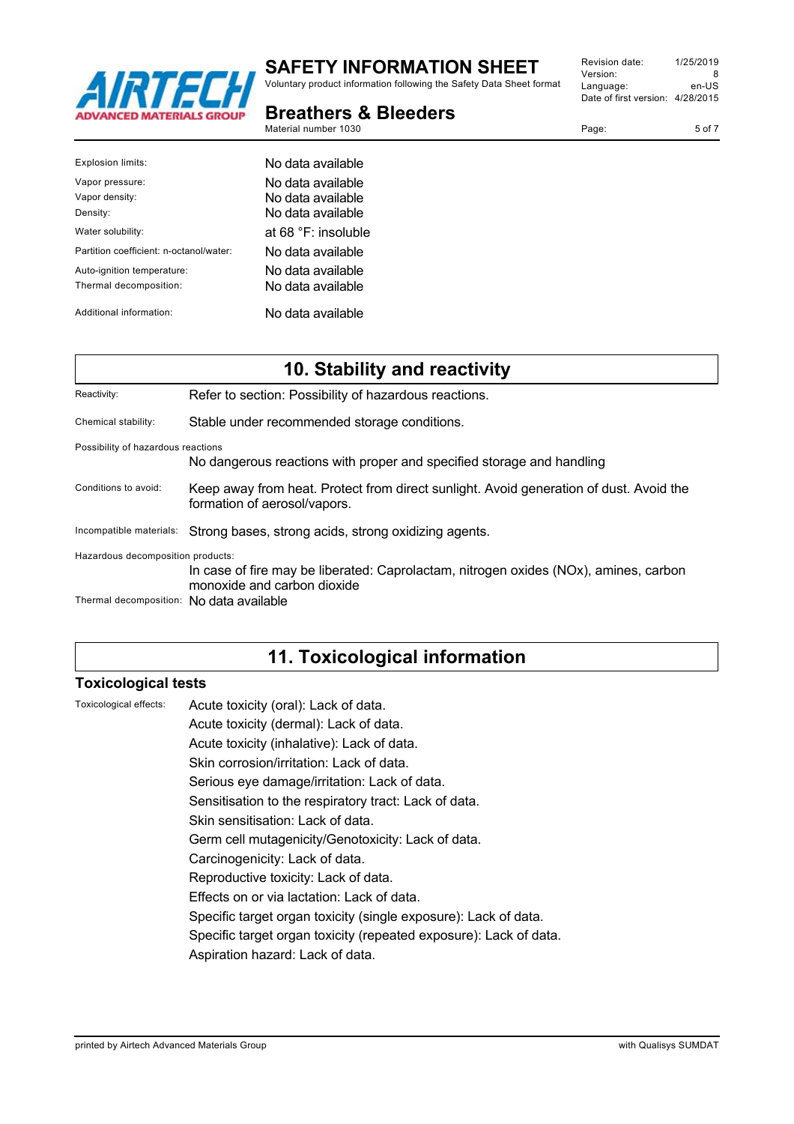

Voluntary product information following the Safety Data Sheet format

#### **Breathers & Bleeders** Material number 1030

| Revision date:                   | 1/25/2019 |
|----------------------------------|-----------|
| Version:                         | 8         |
| Language:                        | en-US     |
| Date of first version: 4/28/2015 |           |
|                                  |           |

Page: 5 of 7

| Explosion limits:                                    | No data available                                            |
|------------------------------------------------------|--------------------------------------------------------------|
| Vapor pressure:<br>Vapor density:<br>Density:        | No data available<br>No data available<br>No data available. |
| Water solubility:                                    | at $68 \text{ °F}$ : insoluble                               |
| Partition coefficient: n-octanol/water:              | No data available                                            |
| Auto-ignition temperature:<br>Thermal decomposition: | No data available<br>No data available                       |
| Additional information:                              | No data available                                            |

| 10. Stability and reactivity                                                                                                                             |                                                                                                                        |  |
|----------------------------------------------------------------------------------------------------------------------------------------------------------|------------------------------------------------------------------------------------------------------------------------|--|
| Reactivity:                                                                                                                                              | Refer to section: Possibility of hazardous reactions.                                                                  |  |
| Chemical stability:                                                                                                                                      | Stable under recommended storage conditions.                                                                           |  |
| Possibility of hazardous reactions<br>No dangerous reactions with proper and specified storage and handling                                              |                                                                                                                        |  |
| Conditions to avoid:                                                                                                                                     | Keep away from heat. Protect from direct sunlight. Avoid generation of dust. Avoid the<br>formation of aerosol/vapors. |  |
| Incompatible materials:                                                                                                                                  | Strong bases, strong acids, strong oxidizing agents.                                                                   |  |
| Hazardous decomposition products:<br>In case of fire may be liberated: Caprolactam, nitrogen oxides (NOx), amines, carbon<br>monoxide and carbon dioxide |                                                                                                                        |  |
| Thermal decomposition: No data available                                                                                                                 |                                                                                                                        |  |

# **11. Toxicological information**

## **Toxicological tests**

| Toxicological effects: | Acute toxicity (oral): Lack of data.                              |
|------------------------|-------------------------------------------------------------------|
|                        | Acute toxicity (dermal): Lack of data.                            |
|                        | Acute toxicity (inhalative): Lack of data.                        |
|                        | Skin corrosion/irritation: Lack of data.                          |
|                        | Serious eye damage/irritation: Lack of data.                      |
|                        | Sensitisation to the respiratory tract: Lack of data.             |
|                        | Skin sensitisation: Lack of data.                                 |
|                        | Germ cell mutagenicity/Genotoxicity: Lack of data.                |
|                        | Carcinogenicity: Lack of data.                                    |
|                        | Reproductive toxicity: Lack of data.                              |
|                        | Effects on or via lactation: Lack of data.                        |
|                        | Specific target organ toxicity (single exposure): Lack of data.   |
|                        | Specific target organ toxicity (repeated exposure): Lack of data. |
|                        | Aspiration hazard: Lack of data.                                  |
|                        |                                                                   |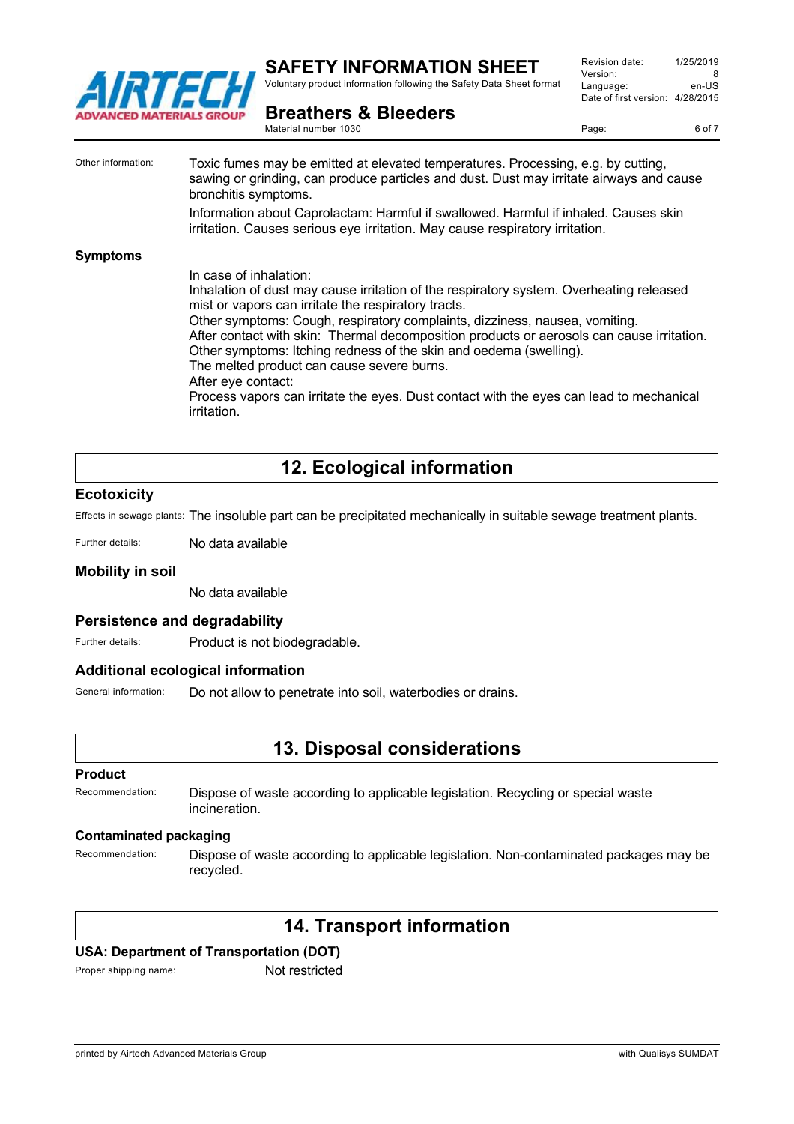

Voluntary product information following the Safety Data Sheet format

Revision date: 1/25/2019 Version: 8<br>Language: en-LIS Language: Date of first version: 4/28/2015

**Breathers & Bleeders**

Material number 1030

Page: 6 of 7

Other information: Toxic fumes may be emitted at elevated temperatures. Processing, e.g. by cutting, sawing or grinding, can produce particles and dust. Dust may irritate airways and cause bronchitis symptoms. Information about Caprolactam: Harmful if swallowed. Harmful if inhaled. Causes skin irritation. Causes serious eye irritation. May cause respiratory irritation. **Symptoms** In case of inhalation: Inhalation of dust may cause irritation of the respiratory system. Overheating released mist or vapors can irritate the respiratory tracts. Other symptoms: Cough, respiratory complaints, dizziness, nausea, vomiting. After contact with skin: Thermal decomposition products or aerosols can cause irritation. Other symptoms: Itching redness of the skin and oedema (swelling). The melted product can cause severe burns. After eye contact: Process vapors can irritate the eyes. Dust contact with the eyes can lead to mechanical irritation.

# **12. Ecological information**

#### **Ecotoxicity**

Effects in sewage plants: The insoluble part can be precipitated mechanically in suitable sewage treatment plants.

Further details: No data available

#### **Mobility in soil**

No data available

#### **Persistence and degradability**

Further details: Product is not biodegradable.

#### **Additional ecological information**

General information: Do not allow to penetrate into soil, waterbodies or drains.

## **13. Disposal considerations**

#### **Product**

Recommendation: Dispose of waste according to applicable legislation. Recycling or special waste incineration.

#### **Contaminated packaging**

Recommendation: Dispose of waste according to applicable legislation. Non-contaminated packages may be recycled.

## **14. Transport information**

#### **USA: Department of Transportation (DOT)**

Proper shipping name: Not restricted